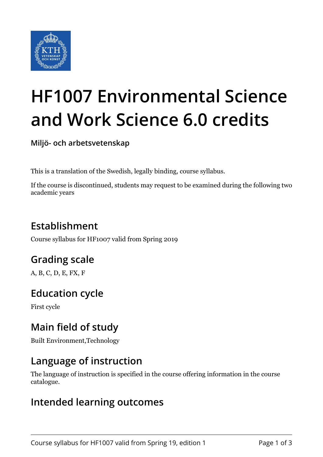

# **HF1007 Environmental Science and Work Science 6.0 credits**

**Miljö- och arbetsvetenskap**

This is a translation of the Swedish, legally binding, course syllabus.

If the course is discontinued, students may request to be examined during the following two academic years

# **Establishment**

Course syllabus for HF1007 valid from Spring 2019

# **Grading scale**

A, B, C, D, E, FX, F

## **Education cycle**

First cycle

## **Main field of study**

Built Environment,Technology

### **Language of instruction**

The language of instruction is specified in the course offering information in the course catalogue.

#### **Intended learning outcomes**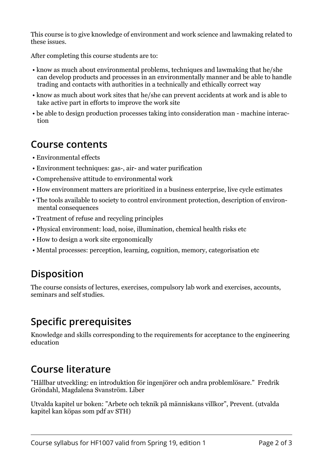This course is to give knowledge of environment and work science and lawmaking related to these issues.

After completing this course students are to:

- know as much about environmental problems, techniques and lawmaking that he/she can develop products and processes in an environmentally manner and be able to handle trading and contacts with authorities in a technically and ethically correct way
- know as much about work sites that he/she can prevent accidents at work and is able to take active part in efforts to improve the work site
- be able to design production processes taking into consideration man machine interaction

#### **Course contents**

- Environmental effects
- Environment techniques: gas-, air- and water purification
- Comprehensive attitude to environmental work
- How environment matters are prioritized in a business enterprise, live cycle estimates
- The tools available to society to control environment protection, description of environmental consequences
- Treatment of refuse and recycling principles
- Physical environment: load, noise, illumination, chemical health risks etc
- How to design a work site ergonomically
- Mental processes: perception, learning, cognition, memory, categorisation etc

## **Disposition**

The course consists of lectures, exercises, compulsory lab work and exercises, accounts, seminars and self studies.

# **Specific prerequisites**

Knowledge and skills corresponding to the requirements for acceptance to the engineering education

## **Course literature**

"Hållbar utveckling: en introduktion för ingenjörer och andra problemlösare." Fredrik Gröndahl, Magdalena Svanström. Liber

Utvalda kapitel ur boken: "Arbete och teknik på människans villkor", Prevent. (utvalda kapitel kan köpas som pdf av STH)